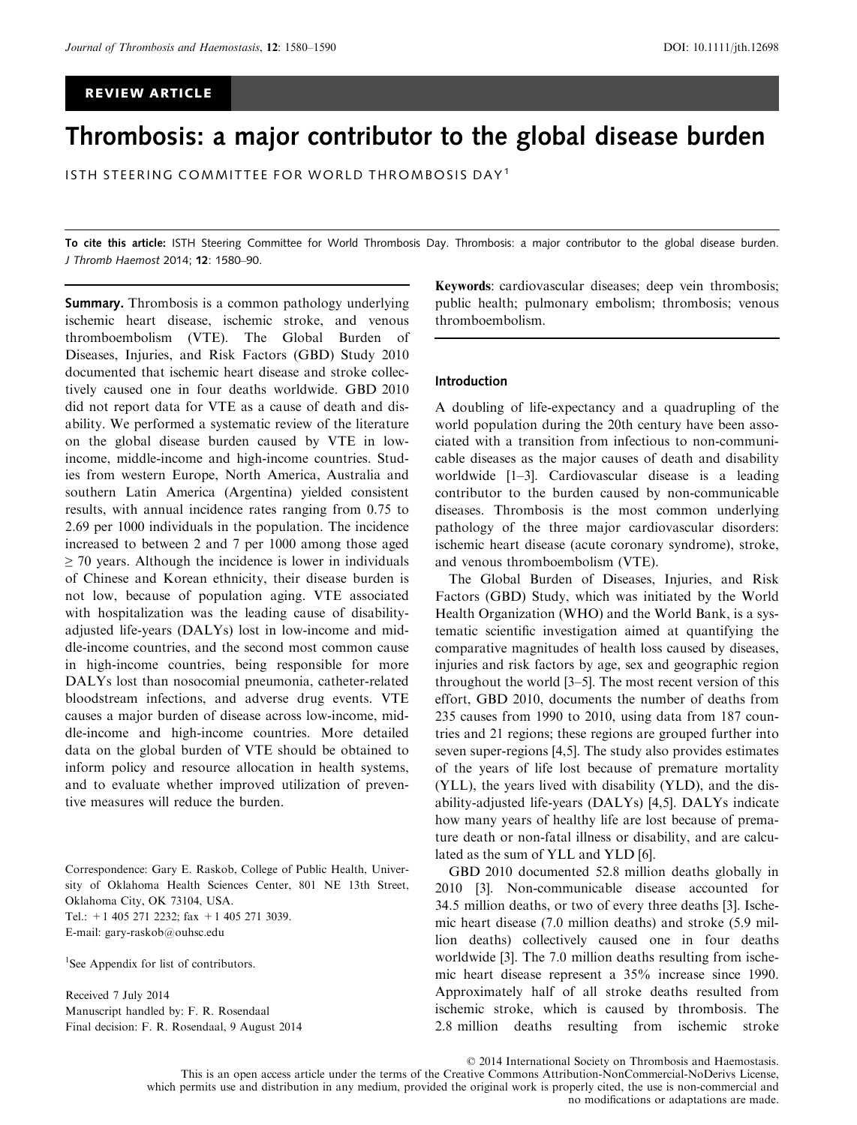# REVIEW ARTICLE

# Thrombosis: a major contributor to the global disease burden

ISTH STEERING COMMITTEE FOR WORLD THROMBOSIS DAY<sup>1</sup>

To cite this article: ISTH Steering Committee for World Thrombosis Day. Thrombosis: a major contributor to the global disease burden. J Thromb Haemost 2014; 12: 1580–90.

**Summary.** Thrombosis is a common pathology underlying ischemic heart disease, ischemic stroke, and venous thromboembolism (VTE). The Global Burden of Diseases, Injuries, and Risk Factors (GBD) Study 2010 documented that ischemic heart disease and stroke collectively caused one in four deaths worldwide. GBD 2010 did not report data for VTE as a cause of death and disability. We performed a systematic review of the literature on the global disease burden caused by VTE in lowincome, middle-income and high-income countries. Studies from western Europe, North America, Australia and southern Latin America (Argentina) yielded consistent results, with annual incidence rates ranging from 0.75 to 2.69 per 1000 individuals in the population. The incidence increased to between 2 and 7 per 1000 among those aged  $\geq$  70 years. Although the incidence is lower in individuals of Chinese and Korean ethnicity, their disease burden is not low, because of population aging. VTE associated with hospitalization was the leading cause of disabilityadjusted life-years (DALYs) lost in low-income and middle-income countries, and the second most common cause in high-income countries, being responsible for more DALYs lost than nosocomial pneumonia, catheter-related bloodstream infections, and adverse drug events. VTE causes a major burden of disease across low-income, middle-income and high-income countries. More detailed data on the global burden of VTE should be obtained to inform policy and resource allocation in health systems, and to evaluate whether improved utilization of preventive measures will reduce the burden.

Correspondence: Gary E. Raskob, College of Public Health, University of Oklahoma Health Sciences Center, 801 NE 13th Street, Oklahoma City, OK 73104, USA. Tel.: +1 405 271 2232; fax +1 405 271 3039. E-mail: gary-raskob@ouhsc.edu

<sup>1</sup>See Appendix for list of contributors.

Received 7 July 2014 Manuscript handled by: F. R. Rosendaal Final decision: F. R. Rosendaal, 9 August 2014 Keywords: cardiovascular diseases; deep vein thrombosis; public health; pulmonary embolism; thrombosis; venous thromboembolism.

# Introduction

A doubling of life-expectancy and a quadrupling of the world population during the 20th century have been associated with a transition from infectious to non-communicable diseases as the major causes of death and disability worldwide [1–3]. Cardiovascular disease is a leading contributor to the burden caused by non-communicable diseases. Thrombosis is the most common underlying pathology of the three major cardiovascular disorders: ischemic heart disease (acute coronary syndrome), stroke, and venous thromboembolism (VTE).

The Global Burden of Diseases, Injuries, and Risk Factors (GBD) Study, which was initiated by the World Health Organization (WHO) and the World Bank, is a systematic scientific investigation aimed at quantifying the comparative magnitudes of health loss caused by diseases, injuries and risk factors by age, sex and geographic region throughout the world [3–5]. The most recent version of this effort, GBD 2010, documents the number of deaths from 235 causes from 1990 to 2010, using data from 187 countries and 21 regions; these regions are grouped further into seven super-regions [4,5]. The study also provides estimates of the years of life lost because of premature mortality (YLL), the years lived with disability (YLD), and the disability-adjusted life-years (DALYs) [4,5]. DALYs indicate how many years of healthy life are lost because of premature death or non-fatal illness or disability, and are calculated as the sum of YLL and YLD [6].

GBD 2010 documented 52.8 million deaths globally in 2010 [3]. Non-communicable disease accounted for 34.5 million deaths, or two of every three deaths [3]. Ischemic heart disease (7.0 million deaths) and stroke (5.9 million deaths) collectively caused one in four deaths worldwide [3]. The 7.0 million deaths resulting from ischemic heart disease represent a 35% increase since 1990. Approximately half of all stroke deaths resulted from ischemic stroke, which is caused by thrombosis. The 2.8 million deaths resulting from ischemic stroke

© 2014 International Society on Thrombosis and Haemostasis.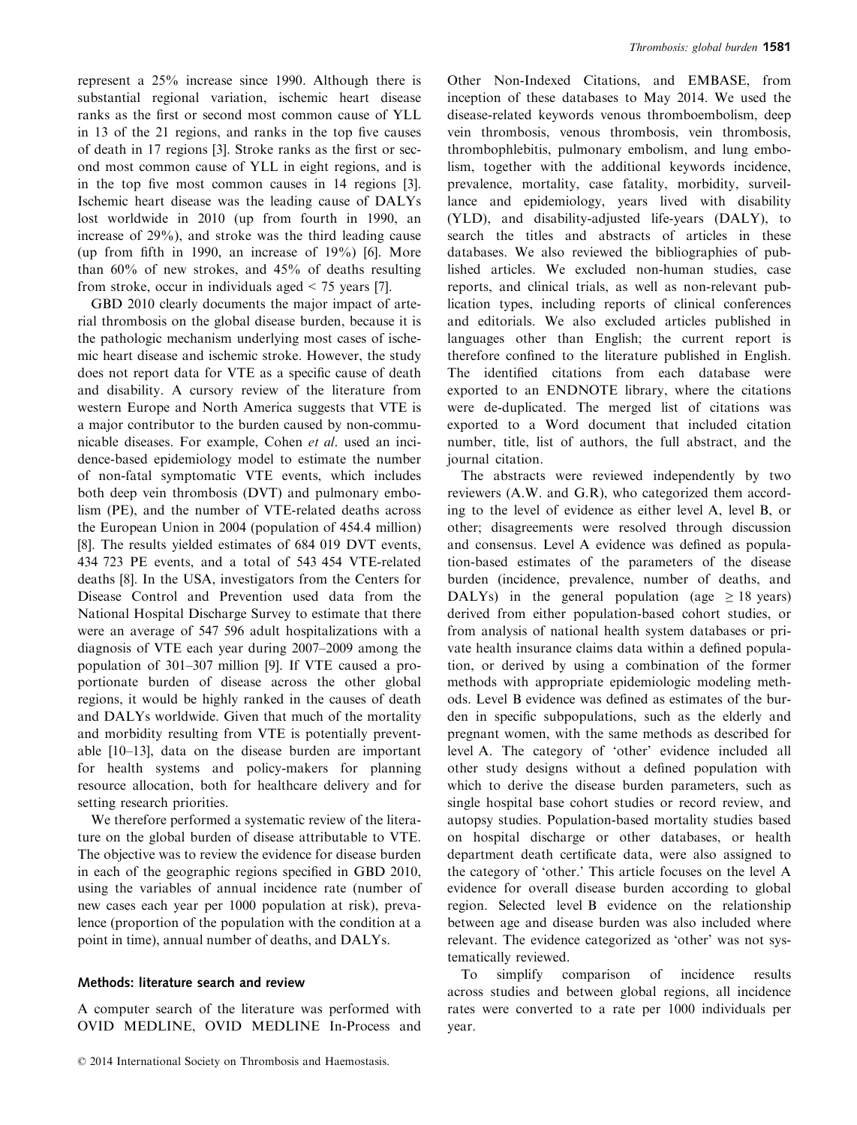represent a 25% increase since 1990. Although there is substantial regional variation, ischemic heart disease ranks as the first or second most common cause of YLL in 13 of the 21 regions, and ranks in the top five causes of death in 17 regions [3]. Stroke ranks as the first or second most common cause of YLL in eight regions, and is in the top five most common causes in 14 regions [3]. Ischemic heart disease was the leading cause of DALYs lost worldwide in 2010 (up from fourth in 1990, an increase of 29%), and stroke was the third leading cause (up from fifth in 1990, an increase of 19%) [6]. More than 60% of new strokes, and 45% of deaths resulting from stroke, occur in individuals aged < 75 years [7].

GBD 2010 clearly documents the major impact of arterial thrombosis on the global disease burden, because it is the pathologic mechanism underlying most cases of ischemic heart disease and ischemic stroke. However, the study does not report data for VTE as a specific cause of death and disability. A cursory review of the literature from western Europe and North America suggests that VTE is a major contributor to the burden caused by non-communicable diseases. For example, Cohen *et al*. used an incidence-based epidemiology model to estimate the number of non-fatal symptomatic VTE events, which includes both deep vein thrombosis (DVT) and pulmonary embolism (PE), and the number of VTE-related deaths across the European Union in 2004 (population of 454.4 million) [8]. The results yielded estimates of 684 019 DVT events, 434 723 PE events, and a total of 543 454 VTE-related deaths [8]. In the USA, investigators from the Centers for Disease Control and Prevention used data from the National Hospital Discharge Survey to estimate that there were an average of 547 596 adult hospitalizations with a diagnosis of VTE each year during 2007–2009 among the population of 301–307 million [9]. If VTE caused a proportionate burden of disease across the other global regions, it would be highly ranked in the causes of death and DALYs worldwide. Given that much of the mortality and morbidity resulting from VTE is potentially preventable [10–13], data on the disease burden are important for health systems and policy-makers for planning resource allocation, both for healthcare delivery and for setting research priorities.

We therefore performed a systematic review of the literature on the global burden of disease attributable to VTE. The objective was to review the evidence for disease burden in each of the geographic regions specified in GBD 2010, using the variables of annual incidence rate (number of new cases each year per 1000 population at risk), prevalence (proportion of the population with the condition at a point in time), annual number of deaths, and DALYs.

#### Methods: literature search and review

A computer search of the literature was performed with OVID MEDLINE, OVID MEDLINE In-Process and

Other Non-Indexed Citations, and EMBASE, from inception of these databases to May 2014. We used the disease-related keywords venous thromboembolism, deep vein thrombosis, venous thrombosis, vein thrombosis, thrombophlebitis, pulmonary embolism, and lung embolism, together with the additional keywords incidence, prevalence, mortality, case fatality, morbidity, surveillance and epidemiology, years lived with disability (YLD), and disability-adjusted life-years (DALY), to search the titles and abstracts of articles in these databases. We also reviewed the bibliographies of published articles. We excluded non-human studies, case reports, and clinical trials, as well as non-relevant publication types, including reports of clinical conferences and editorials. We also excluded articles published in languages other than English; the current report is therefore confined to the literature published in English. The identified citations from each database were exported to an ENDNOTE library, where the citations were de-duplicated. The merged list of citations was exported to a Word document that included citation number, title, list of authors, the full abstract, and the journal citation.

The abstracts were reviewed independently by two reviewers (A.W. and G.R), who categorized them according to the level of evidence as either level A, level B, or other; disagreements were resolved through discussion and consensus. Level A evidence was defined as population-based estimates of the parameters of the disease burden (incidence, prevalence, number of deaths, and DALYs) in the general population (age  $\geq$  18 years) derived from either population-based cohort studies, or from analysis of national health system databases or private health insurance claims data within a defined population, or derived by using a combination of the former methods with appropriate epidemiologic modeling methods. Level B evidence was defined as estimates of the burden in specific subpopulations, such as the elderly and pregnant women, with the same methods as described for level A. The category of 'other' evidence included all other study designs without a defined population with which to derive the disease burden parameters, such as single hospital base cohort studies or record review, and autopsy studies. Population-based mortality studies based on hospital discharge or other databases, or health department death certificate data, were also assigned to the category of 'other.' This article focuses on the level A evidence for overall disease burden according to global region. Selected level B evidence on the relationship between age and disease burden was also included where relevant. The evidence categorized as 'other' was not systematically reviewed.

To simplify comparison of incidence results across studies and between global regions, all incidence rates were converted to a rate per 1000 individuals per year.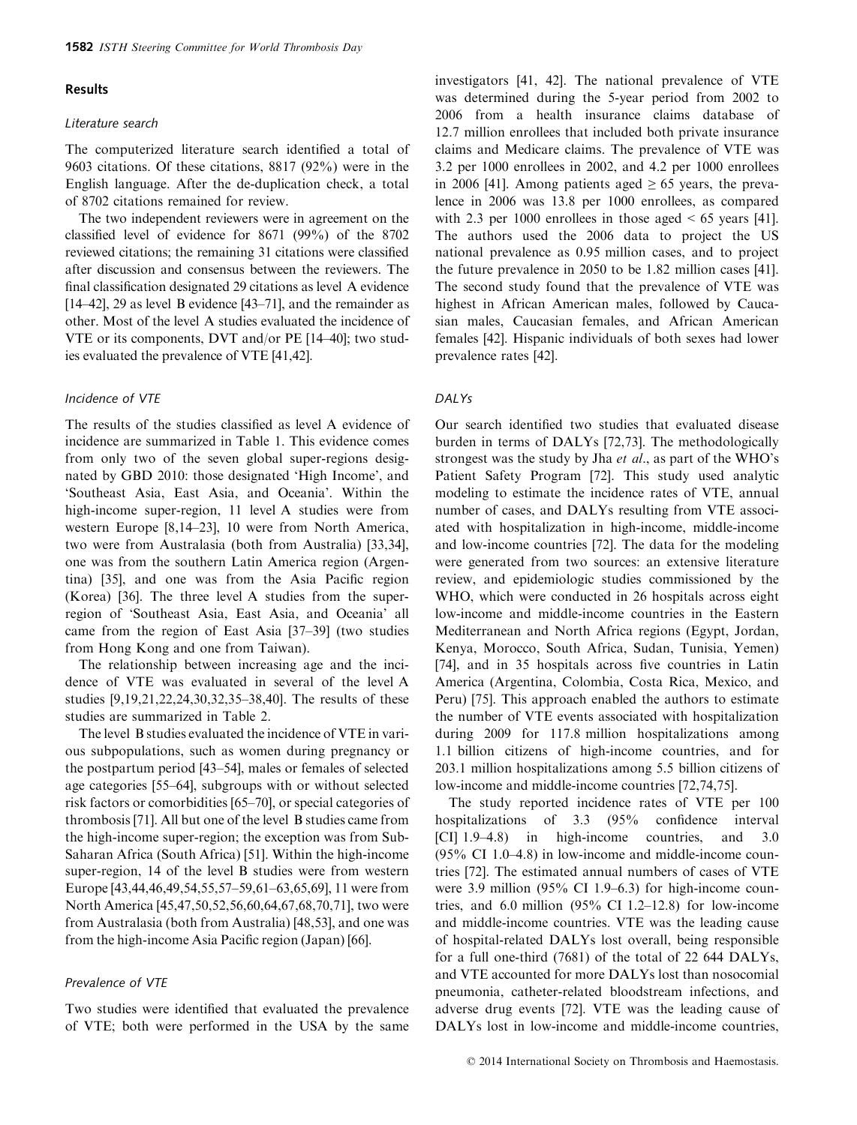#### Results

# Literature search

The computerized literature search identified a total of 9603 citations. Of these citations, 8817 (92%) were in the English language. After the de-duplication check, a total of 8702 citations remained for review.

The two independent reviewers were in agreement on the classified level of evidence for 8671 (99%) of the 8702 reviewed citations; the remaining 31 citations were classified after discussion and consensus between the reviewers. The final classification designated 29 citations as level A evidence [14–42], 29 as level B evidence [43–71], and the remainder as other. Most of the level A studies evaluated the incidence of VTE or its components, DVT and/or PE [14–40]; two studies evaluated the prevalence of VTE [41,42].

# Incidence of VTE

The results of the studies classified as level A evidence of incidence are summarized in Table 1. This evidence comes from only two of the seven global super-regions designated by GBD 2010: those designated 'High Income', and 'Southeast Asia, East Asia, and Oceania'. Within the high-income super-region, 11 level A studies were from western Europe [8,14–23], 10 were from North America, two were from Australasia (both from Australia) [33,34], one was from the southern Latin America region (Argentina) [35], and one was from the Asia Pacific region (Korea) [36]. The three level A studies from the superregion of 'Southeast Asia, East Asia, and Oceania' all came from the region of East Asia [37–39] (two studies from Hong Kong and one from Taiwan).

The relationship between increasing age and the incidence of VTE was evaluated in several of the level A studies [9,19,21,22,24,30,32,35–38,40]. The results of these studies are summarized in Table 2.

The level B studies evaluated the incidence of VTE in various subpopulations, such as women during pregnancy or the postpartum period [43–54], males or females of selected age categories [55–64], subgroups with or without selected risk factors or comorbidities [65–70], or special categories of thrombosis [71]. All but one of the level B studies came from the high-income super-region; the exception was from Sub-Saharan Africa (South Africa) [51]. Within the high-income super-region, 14 of the level B studies were from western Europe [43,44,46,49,54,55,57–59,61–63,65,69], 11 were from North America [45,47,50,52,56,60,64,67,68,70,71], two were from Australasia (both from Australia) [48,53], and one was from the high-income Asia Pacific region (Japan) [66].

### Prevalence of VTE

Two studies were identified that evaluated the prevalence of VTE; both were performed in the USA by the same investigators [41, 42]. The national prevalence of VTE was determined during the 5-year period from 2002 to 2006 from a health insurance claims database of 12.7 million enrollees that included both private insurance claims and Medicare claims. The prevalence of VTE was 3.2 per 1000 enrollees in 2002, and 4.2 per 1000 enrollees in 2006 [41]. Among patients aged  $\geq 65$  years, the prevalence in 2006 was 13.8 per 1000 enrollees, as compared with 2.3 per 1000 enrollees in those aged  $< 65$  years [41]. The authors used the 2006 data to project the US national prevalence as 0.95 million cases, and to project the future prevalence in 2050 to be 1.82 million cases [41]. The second study found that the prevalence of VTE was highest in African American males, followed by Caucasian males, Caucasian females, and African American females [42]. Hispanic individuals of both sexes had lower prevalence rates [42].

# **DALYs**

Our search identified two studies that evaluated disease burden in terms of DALYs [72,73]. The methodologically strongest was the study by Jha *et al*., as part of the WHO's Patient Safety Program [72]. This study used analytic modeling to estimate the incidence rates of VTE, annual number of cases, and DALYs resulting from VTE associated with hospitalization in high-income, middle-income and low-income countries [72]. The data for the modeling were generated from two sources: an extensive literature review, and epidemiologic studies commissioned by the WHO, which were conducted in 26 hospitals across eight low-income and middle-income countries in the Eastern Mediterranean and North Africa regions (Egypt, Jordan, Kenya, Morocco, South Africa, Sudan, Tunisia, Yemen) [74], and in 35 hospitals across five countries in Latin America (Argentina, Colombia, Costa Rica, Mexico, and Peru) [75]. This approach enabled the authors to estimate the number of VTE events associated with hospitalization during 2009 for 117.8 million hospitalizations among 1.1 billion citizens of high-income countries, and for 203.1 million hospitalizations among 5.5 billion citizens of low-income and middle-income countries [72,74,75].

The study reported incidence rates of VTE per 100 hospitalizations of 3.3 (95% confidence interval [CI] 1.9–4.8) in high-income countries, and 3.0 (95% CI 1.0–4.8) in low-income and middle-income countries [72]. The estimated annual numbers of cases of VTE were 3.9 million (95% CI 1.9–6.3) for high-income countries, and  $6.0$  million  $(95\% \text{ CI } 1.2-12.8)$  for low-income and middle-income countries. VTE was the leading cause of hospital-related DALYs lost overall, being responsible for a full one-third (7681) of the total of 22 644 DALYs, and VTE accounted for more DALYs lost than nosocomial pneumonia, catheter-related bloodstream infections, and adverse drug events [72]. VTE was the leading cause of DALYs lost in low-income and middle-income countries,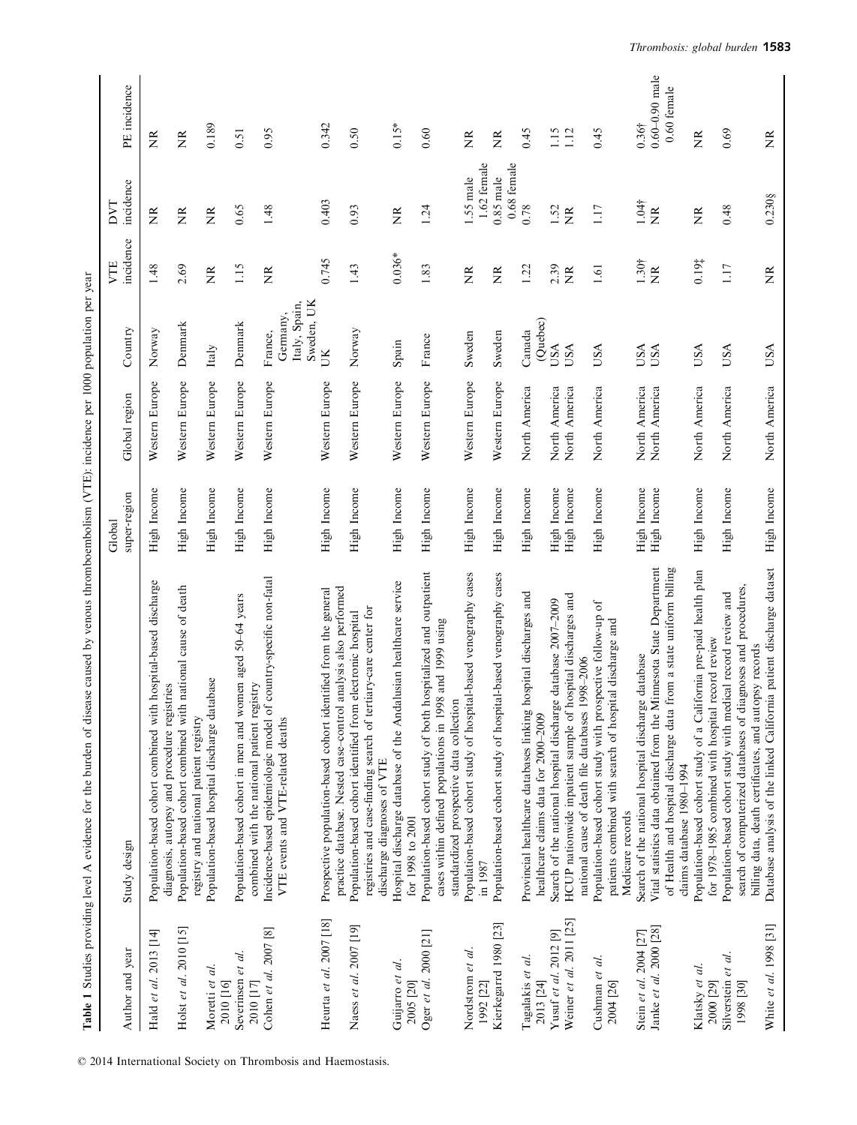|                                                  | Table 1 Studies providing level A evidence for the burden of disease caused by venous thromboembolism (VTE): incidence per 1000 population per year                                                                            |                            |                                |                                                    |                                      |                                    |                                                    |
|--------------------------------------------------|--------------------------------------------------------------------------------------------------------------------------------------------------------------------------------------------------------------------------------|----------------------------|--------------------------------|----------------------------------------------------|--------------------------------------|------------------------------------|----------------------------------------------------|
| Author and year                                  | Study design                                                                                                                                                                                                                   | super-region<br>Global     | Global region                  | Country                                            | incidence<br>VTE                     | incidence<br>LNL                   | PE incidence                                       |
| Hald et al. 2013 [14]                            | Population-based cohort combined with hospital-based discharge<br>diagnosis, autopsy and procedure registries                                                                                                                  | High Income                | Western Europe                 | Norway                                             | 1.48                                 | $\widetilde{\Xi}$                  | $\widetilde{\Xi}$                                  |
| Holst et al. 2010 [15]                           | Population-based cohort combined with national cause of death<br>registry and national patient registry                                                                                                                        | High Income                | Western Europe                 | Denmark                                            | 2.69                                 | $\widetilde{\mathbf{z}}$           | $\widetilde{\Xi}$                                  |
| Moretti et al.<br>2010 [16]                      | atabase<br>Population-based hospital discharge d                                                                                                                                                                               | High Income                | Western Europe                 | Italy                                              | $\widetilde{z}$                      | $\widetilde{\mathbf{z}}$           | 0.189                                              |
| Severinsen et al.<br>2010 [17]                   | Population-based cohort in men and women aged 50-64 years<br>combined with the national patient registry                                                                                                                       | High Income                | Western Europe                 | Denmark                                            | 1.15                                 | 0.65                               | 0.51                                               |
| Cohen et al. 2007 [8]                            | of country-specific non-fatal<br>VTE events and VTE-related deaths<br>Incidence-based epidemiologic model                                                                                                                      | High Income                | Western Europe                 | Sweden, UK<br>Italy, Spain,<br>Germany,<br>France, | $\widetilde{\mathbf{z}}$             | 1.48                               | 0.95                                               |
| Heurta et al. 2007 [18]                          | practice database. Nested case-control analysis also performed<br>Prospective population-based cohort identified from the general                                                                                              | High Income                | Western Europe                 | UK                                                 | 0.745                                | 0.403                              | 0.342                                              |
| Naess et al. 2007 [19]                           | registries and case-finding search of tertiary-care center for<br>Population-based cohort identified from electronic hospital<br>discharge diagnoses of VTE                                                                    | High Income                | Western Europe                 | Norway                                             | 1.43                                 | 0.93                               | 0.50                                               |
| Guijarro et al.<br>2005 [20]                     | Hospital discharge database of the Andalusian healthcare service<br>for 1998 to 2001                                                                                                                                           | High Income                | Western Europe                 | Spain                                              | $0.036*$                             | $\widetilde{\Xi}$                  | $0.15*$                                            |
| Oger et al. 2000 [21]                            | Population-based cohort study of both hospitalized and outpatient<br>cases within defined populations in 1998 and 1999 using<br>standardized prospective data collection                                                       | High Income                | Western Europe                 | France                                             | 1.83                                 | 1.24                               | 0.60                                               |
| Nordstrom et al.<br>1992 [22]                    | Population-based cohort study of hospital-based venography cases<br>in 1987                                                                                                                                                    | High Income                | Western Europe                 | Sweden                                             | $\widetilde{z}$                      | 1.62 female<br>1.55 male           | $\widetilde{\Xi}$                                  |
| Kierkegarrd 1980 [23]                            | Population-based cohort study of hospital-based venography cases                                                                                                                                                               | High Income                | Western Europe                 | Sweden                                             | $\widetilde{\mathbf{z}}$             | 0.68 female<br>$0.85$ male         | $\widetilde{\Xi}$                                  |
| Tagalakis et al.<br>2013 [24]                    | Provincial healthcare databases linking hospital discharges and<br>healthcare claims data for 2000-2005                                                                                                                        | High Income                | North America                  | (Quebec)<br>Canada                                 | 1.22                                 | 0.78                               | 0.45                                               |
| Yusuf et al. 2012 [9]                            | Search of the national hospital discharge database 2007-2009                                                                                                                                                                   | High Income                | North America                  | USA                                                | 2.39                                 | 1.52                               | 1.15                                               |
| Weiner et al. 2011 [25]                          | HCUP nationwide inpatient sample of hospital discharges and<br>national cause of death file databases 1998-2006                                                                                                                | High Income                | North America                  | USA                                                | $\widetilde{Z}$                      | $\widetilde{z}$                    | 1.12                                               |
| Cushman et al.<br>2004 [26]                      | Population-based cohort study with prospective follow-up of<br>patients combined with search of hospital discharge and<br>Medicare records                                                                                     | High Income                | North America                  | USA                                                | $1.61\,$                             | 1.17                               | 0.45                                               |
| Janke et al. 2000 [28]<br>Stein et al. 2004 [27] | Minnesota State Department<br>of Health and hospital discharge data from a state uniform billing<br>Search of the national hospital discharge database<br>Vital statistics data obtained from the<br>claims database 1980-1994 | High Income<br>High Income | North America<br>North America | USA<br>USA                                         | 1.30 <sub>1</sub><br>$\widetilde{Z}$ | $1.04\dagger$<br>$\widetilde{\Xi}$ | $0.60 - 0.90$ male<br>0.60 female<br>$0.36\dagger$ |
| Klatsky et al.<br>2000 [29]                      | Population-based cohort study of a California pre-paid health plan<br>for 1978-1985 combined with hospital record review                                                                                                       | High Income                | North America                  | USA                                                | 0.191                                | $\widetilde{\mathbf{z}}$           | $\widetilde{\Xi}$                                  |
| Silverstein et al.<br>[1998]                     | diagnoses and procedures,<br>Population-based cohort study with medical record review and<br>billing data, death certificates, and autopsy records<br>search of computerized databases of                                      | High Income                | North America                  | USA                                                | 1.17                                 | 0.48                               | 0.69                                               |
| White et al. 1998 [31]                           | Database analysis of the linked California patient discharge dataset                                                                                                                                                           | High Income                | North America                  | USA                                                | $\widetilde{\mathbf{z}}$             | $0.230$ §                          | $\widetilde{\Xi}$                                  |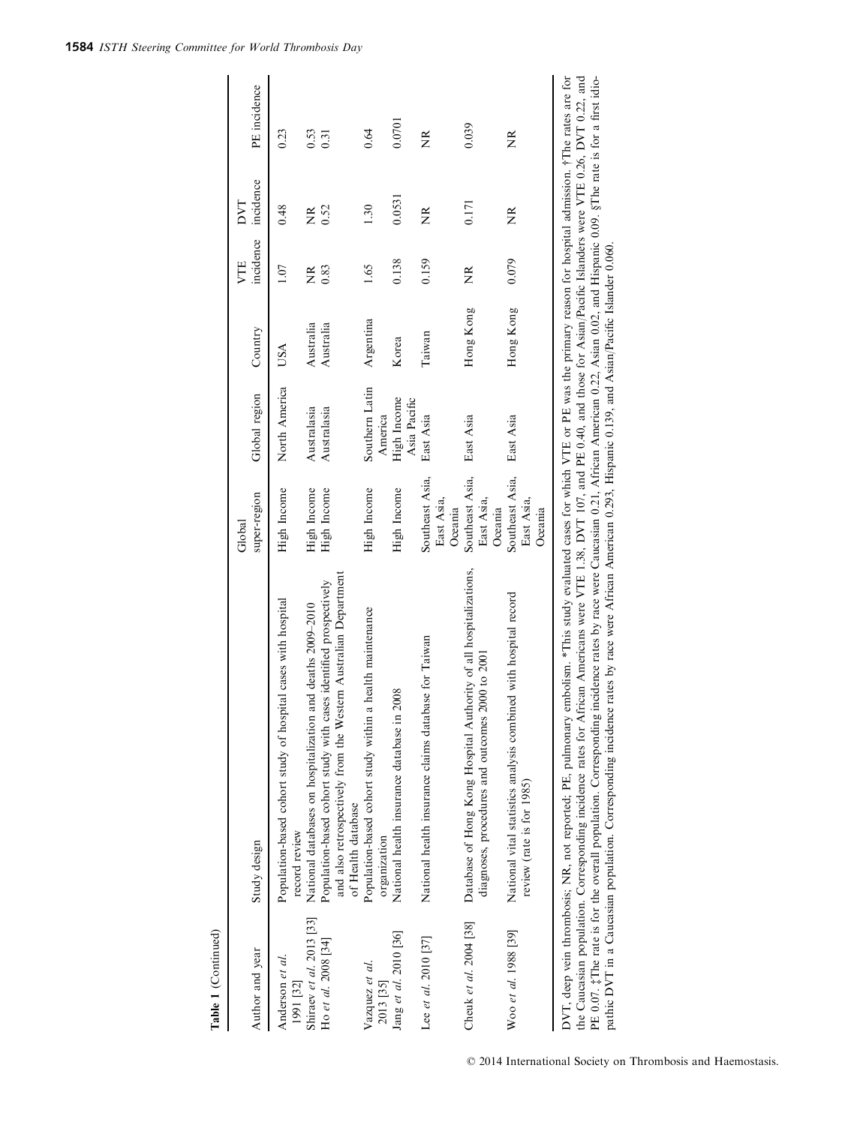| Table 1 (Continued)          |                                                                                                                                                                                                                                                                                                                                                                                                                                                                                                                                                                                                                                                                                                                                                          |                                          |                             |           |                   |                   |                   |
|------------------------------|----------------------------------------------------------------------------------------------------------------------------------------------------------------------------------------------------------------------------------------------------------------------------------------------------------------------------------------------------------------------------------------------------------------------------------------------------------------------------------------------------------------------------------------------------------------------------------------------------------------------------------------------------------------------------------------------------------------------------------------------------------|------------------------------------------|-----------------------------|-----------|-------------------|-------------------|-------------------|
| Author and year              | Study design                                                                                                                                                                                                                                                                                                                                                                                                                                                                                                                                                                                                                                                                                                                                             | super-region<br>Global                   | Global region               | Country   | incidence<br>VTE  | incidence<br>DVT  | PE incidence      |
| Anderson et al.<br>1991 [32] | Population-based cohort study of hospital cases with hospital<br>record review                                                                                                                                                                                                                                                                                                                                                                                                                                                                                                                                                                                                                                                                           | High Income                              | North America               | USA       | 1.07              | 0.48              | 0.23              |
| Shiraev et al. 2013 [33]     | and deaths 2009-2010<br>National databases on hospitalization                                                                                                                                                                                                                                                                                                                                                                                                                                                                                                                                                                                                                                                                                            | High Income                              | Australasia                 | Australia | $\widetilde{\Xi}$ | $\widetilde{\Xi}$ | 0.53              |
| Ho et al. 2008 [34]          | and also retrospectively from the Western Australian Department<br>Population-based cohort study with cases identified prospectively<br>of Health database                                                                                                                                                                                                                                                                                                                                                                                                                                                                                                                                                                                               | High Income                              | Australasia                 | Australia | 0.83              | 0.52              | 0.31              |
| Vazquez et al.<br>2013 [35]  | a health maintenance<br>Population-based cohort study within<br>organization                                                                                                                                                                                                                                                                                                                                                                                                                                                                                                                                                                                                                                                                             | High Income                              | Southern Latin<br>America   | Argentina | 1.65              | 1.30              | 0.64              |
| Jang et al. 2010 [36]        | 2008<br>National health insurance database in                                                                                                                                                                                                                                                                                                                                                                                                                                                                                                                                                                                                                                                                                                            | High Income                              | High Income<br>Asia Pacific | Korea     | 0.138             | 0.0531            | 0.0701            |
| Lee et al. 2010 [37]         | National health insurance claims database for Taiwan                                                                                                                                                                                                                                                                                                                                                                                                                                                                                                                                                                                                                                                                                                     | Southeast Asia,<br>East Asia,<br>Oceania | East Asia                   | Taiwan    | 0.159             | $\widetilde{\Xi}$ | $\widetilde{\Xi}$ |
| Cheuk et al. 2004 [38]       | Database of Hong Kong Hospital Authority of all hospitalizations,<br>2000 to 2001<br>diagnoses, procedures and outcomes                                                                                                                                                                                                                                                                                                                                                                                                                                                                                                                                                                                                                                  | Southeast Asia,<br>East Asia,<br>Oceania | East Asia                   | Hong Kong | $\widetilde{\Xi}$ | 0.171             | 0.039             |
| Woo et al. 1988 [39]         | National vital statistics analysis combined with hospital record<br>review (rate is for 1985)                                                                                                                                                                                                                                                                                                                                                                                                                                                                                                                                                                                                                                                            | Southeast Asia,<br>East Asia,<br>Oceania | East Asia                   | Hong Kong | 0.079             | $\widetilde{\Xi}$ | $\widetilde{\Xi}$ |
|                              | embolism. *This study evaluated cases for which VTE or PE was the primary reason for hospital admission. †The rates are for<br>the Caucasian population. Corresponding incidence rates for African Americans were VTE 1.38, DVT 107, and PE 0.40, and those for Asian/Pacific Islanders were VTE 0.26, DVT 0.22, and<br>incidence rates by race were Caucasian 0.21, African American 0.22, Asian 0.02, and Hispanic 0.09. §The rate is for a first idio-<br>pathic DVT in a Caucasian population. Corresponding incidence rates by race were African American 0.293, Hispanic 0.139, and Asian/Pacific Islander 0.060.<br>DVT, deep vein thrombosis; NR, not reported; PE, pulmonary<br>PE 0.07. ‡The rate is for the overall population. Corresponding |                                          |                             |           |                   |                   |                   |

1584 *ISTH Steering Committee for World Thrombosis Day*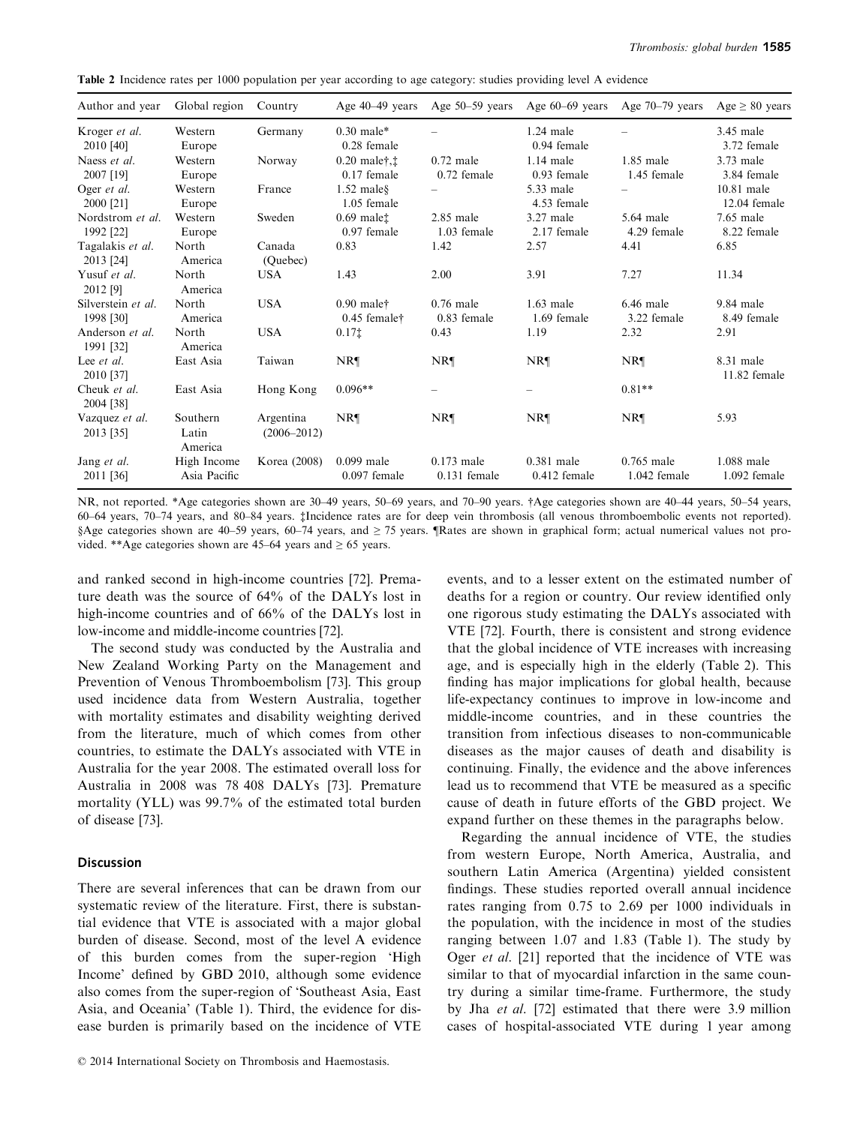Table 2 Incidence rates per 1000 population per year according to age category: studies providing level A evidence

| Author and year                 | Global region                | Country                      | Age $40-49$ years                                                      |                              | Age $50-59$ years Age $60-69$ years | Age $70-79$ years              | Age $\geq 80$ years          |
|---------------------------------|------------------------------|------------------------------|------------------------------------------------------------------------|------------------------------|-------------------------------------|--------------------------------|------------------------------|
| Kroger et al.<br>2010 [40]      | Western<br>Europe            | Germany                      | $0.30$ male*<br>$0.28$ female                                          |                              | $1.24$ male<br>$0.94$ female        |                                | 3.45 male<br>3.72 female     |
| Naess et al.<br>2007 [19]       | Western<br>Europe            | Norway                       | $0.20$ malert.<br>$0.17$ female                                        | $0.72$ male<br>$0.72$ female | $1.14$ male<br>0.93 female          | 1.85 male<br>1.45 female       | 3.73 male<br>3.84 female     |
| Oger et al.<br>2000 [21]        | Western<br>Europe            | France                       | $1.52$ males<br>1.05 female                                            | -                            | 5.33 male<br>4.53 female            |                                | 10.81 male<br>$12.04$ female |
| Nordstrom et al.<br>1992 [22]   | Western<br>Europe            | Sweden                       | $0.69$ male $\ddagger$<br>$0.97$ female                                | $2.85$ male<br>1.03 female   | 3.27 male<br>2.17 female            | 5.64 male<br>4.29 female       | $7.65$ male<br>8.22 female   |
| Tagalakis et al.<br>2013 [24]   | North<br>America             | Canada<br>(Quebec)           | 0.83                                                                   | 1.42                         | 2.57                                | 4.41                           | 6.85                         |
| Yusuf et al.<br>2012 [9]        | North<br>America             | <b>USA</b>                   | 1.43                                                                   | 2.00                         | 3.91                                | 7.27                           | 11.34                        |
| Silverstein et al.<br>1998 [30] | North<br>America             | <b>USA</b>                   | $0.90$ male <sup><math>\dagger</math></sup><br>$0.45$ female $\dagger$ | $0.76$ male<br>$0.83$ female | $1.63$ male<br>1.69 female          | 6.46 male<br>3.22 female       | 9.84 male<br>8.49 female     |
| Anderson et al.<br>1991 [32]    | North<br>America             | <b>USA</b>                   | 0.171                                                                  | 0.43                         | 1.19                                | 2.32                           | 2.91                         |
| Lee et al.<br>2010 [37]         | East Asia                    | Taiwan                       | NR <sub>1</sub>                                                        | <b>NR</b>                    | <b>NR</b>                           | <b>NR</b>                      | 8.31 male<br>11.82 female    |
| Cheuk et al.<br>2004 [38]       | East Asia                    | Hong Kong                    | $0.096**$                                                              | -                            | $\overline{\phantom{m}}$            | $0.81**$                       |                              |
| Vazquez et al.<br>2013 [35]     | Southern<br>Latin<br>America | Argentina<br>$(2006 - 2012)$ | NR <sub>1</sub>                                                        | NR <sub>1</sub>              | <b>NR</b>                           | <b>NR</b>                      | 5.93                         |
| Jang et al.<br>2011 [36]        | High Income<br>Asia Pacific  | Korea (2008)                 | $0.099$ male<br>$0.097$ female                                         | 0.173 male<br>$0.131$ female | 0.381 male<br>0.412 female          | $0.765$ male<br>$1.042$ female | 1.088 male<br>1.092 female   |

NR, not reported. \*Age categories shown are 30–49 years, 50–69 years, and 70–90 years. †Age categories shown are 40–44 years, 50–54 years, 60–64 years, 70–74 years, and 80–84 years. ‡Incidence rates are for deep vein thrombosis (all venous thromboembolic events not reported). §Age categories shown are 40–59 years, 60–74 years, and ≥ 75 years. ¶Rates are shown in graphical form; actual numerical values not provided. \*\*Age categories shown are 45–64 years and  $\geq$  65 years.

and ranked second in high-income countries [72]. Premature death was the source of 64% of the DALYs lost in high-income countries and of 66% of the DALYs lost in low-income and middle-income countries [72].

The second study was conducted by the Australia and New Zealand Working Party on the Management and Prevention of Venous Thromboembolism [73]. This group used incidence data from Western Australia, together with mortality estimates and disability weighting derived from the literature, much of which comes from other countries, to estimate the DALYs associated with VTE in Australia for the year 2008. The estimated overall loss for Australia in 2008 was 78 408 DALYs [73]. Premature mortality (YLL) was 99.7% of the estimated total burden of disease [73].

# Discussion

There are several inferences that can be drawn from our systematic review of the literature. First, there is substantial evidence that VTE is associated with a major global burden of disease. Second, most of the level A evidence of this burden comes from the super-region 'High Income' defined by GBD 2010, although some evidence also comes from the super-region of 'Southeast Asia, East Asia, and Oceania' (Table 1). Third, the evidence for disease burden is primarily based on the incidence of VTE events, and to a lesser extent on the estimated number of deaths for a region or country. Our review identified only one rigorous study estimating the DALYs associated with VTE [72]. Fourth, there is consistent and strong evidence that the global incidence of VTE increases with increasing age, and is especially high in the elderly (Table 2). This finding has major implications for global health, because life-expectancy continues to improve in low-income and middle-income countries, and in these countries the transition from infectious diseases to non-communicable diseases as the major causes of death and disability is continuing. Finally, the evidence and the above inferences lead us to recommend that VTE be measured as a specific cause of death in future efforts of the GBD project. We expand further on these themes in the paragraphs below.

Regarding the annual incidence of VTE, the studies from western Europe, North America, Australia, and southern Latin America (Argentina) yielded consistent findings. These studies reported overall annual incidence rates ranging from 0.75 to 2.69 per 1000 individuals in the population, with the incidence in most of the studies ranging between 1.07 and 1.83 (Table 1). The study by Oger *et al*. [21] reported that the incidence of VTE was similar to that of myocardial infarction in the same country during a similar time-frame. Furthermore, the study by Jha *et al*. [72] estimated that there were 3.9 million cases of hospital-associated VTE during 1 year among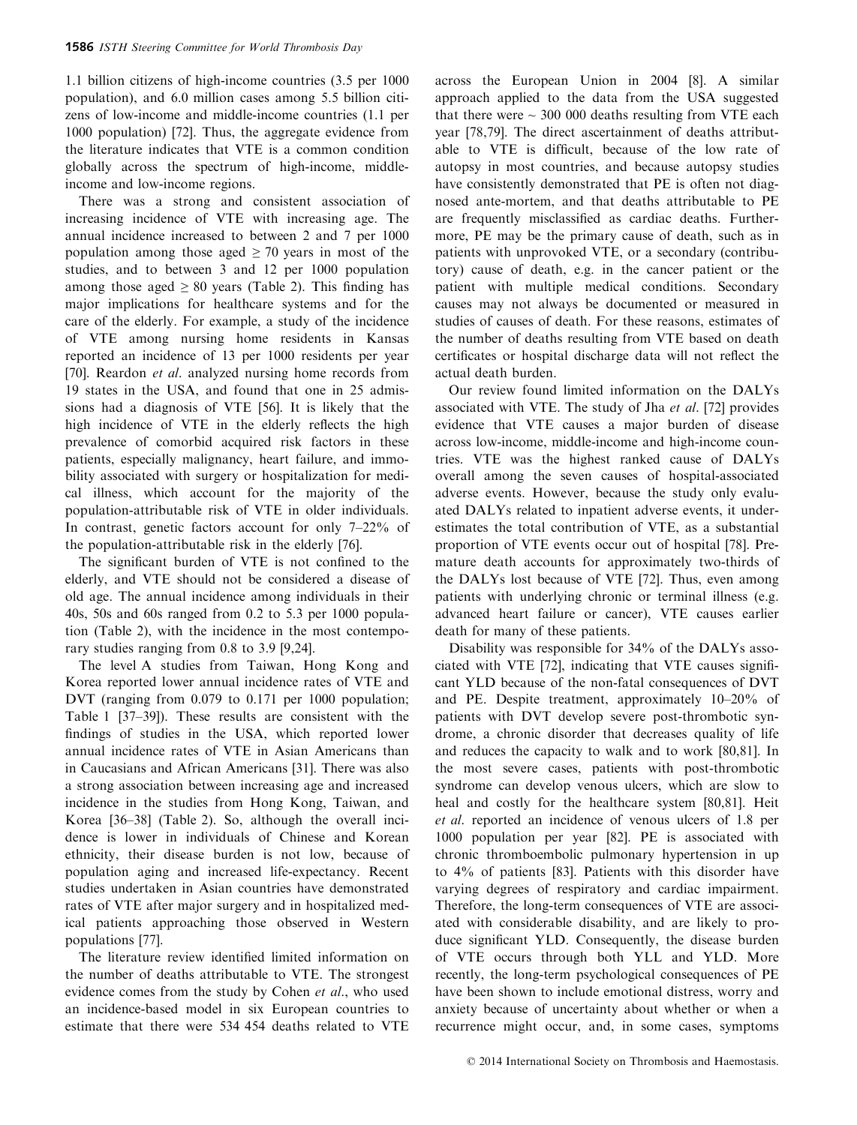1.1 billion citizens of high-income countries (3.5 per 1000 population), and 6.0 million cases among 5.5 billion citizens of low-income and middle-income countries (1.1 per 1000 population) [72]. Thus, the aggregate evidence from the literature indicates that VTE is a common condition globally across the spectrum of high-income, middleincome and low-income regions.

There was a strong and consistent association of increasing incidence of VTE with increasing age. The annual incidence increased to between 2 and 7 per 1000 population among those aged  $\geq$  70 years in most of the studies, and to between 3 and 12 per 1000 population among those aged  $\geq 80$  years (Table 2). This finding has major implications for healthcare systems and for the care of the elderly. For example, a study of the incidence of VTE among nursing home residents in Kansas reported an incidence of 13 per 1000 residents per year [70]. Reardon *et al*. analyzed nursing home records from 19 states in the USA, and found that one in 25 admissions had a diagnosis of VTE [56]. It is likely that the high incidence of VTE in the elderly reflects the high prevalence of comorbid acquired risk factors in these patients, especially malignancy, heart failure, and immobility associated with surgery or hospitalization for medical illness, which account for the majority of the population-attributable risk of VTE in older individuals. In contrast, genetic factors account for only 7–22% of the population-attributable risk in the elderly [76].

The significant burden of VTE is not confined to the elderly, and VTE should not be considered a disease of old age. The annual incidence among individuals in their 40s, 50s and 60s ranged from 0.2 to 5.3 per 1000 population (Table 2), with the incidence in the most contemporary studies ranging from 0.8 to 3.9 [9,24].

The level A studies from Taiwan, Hong Kong and Korea reported lower annual incidence rates of VTE and DVT (ranging from 0.079 to 0.171 per 1000 population; Table 1 [37–39]). These results are consistent with the findings of studies in the USA, which reported lower annual incidence rates of VTE in Asian Americans than in Caucasians and African Americans [31]. There was also a strong association between increasing age and increased incidence in the studies from Hong Kong, Taiwan, and Korea [36–38] (Table 2). So, although the overall incidence is lower in individuals of Chinese and Korean ethnicity, their disease burden is not low, because of population aging and increased life-expectancy. Recent studies undertaken in Asian countries have demonstrated rates of VTE after major surgery and in hospitalized medical patients approaching those observed in Western populations [77].

The literature review identified limited information on the number of deaths attributable to VTE. The strongest evidence comes from the study by Cohen *et al*., who used an incidence-based model in six European countries to estimate that there were 534 454 deaths related to VTE

across the European Union in 2004 [8]. A similar approach applied to the data from the USA suggested that there were  $\sim$  300 000 deaths resulting from VTE each year [78,79]. The direct ascertainment of deaths attributable to VTE is difficult, because of the low rate of autopsy in most countries, and because autopsy studies have consistently demonstrated that PE is often not diagnosed ante-mortem, and that deaths attributable to PE are frequently misclassified as cardiac deaths. Furthermore, PE may be the primary cause of death, such as in patients with unprovoked VTE, or a secondary (contributory) cause of death, e.g. in the cancer patient or the patient with multiple medical conditions. Secondary causes may not always be documented or measured in studies of causes of death. For these reasons, estimates of the number of deaths resulting from VTE based on death certificates or hospital discharge data will not reflect the actual death burden.

Our review found limited information on the DALYs associated with VTE. The study of Jha *et al*. [72] provides evidence that VTE causes a major burden of disease across low-income, middle-income and high-income countries. VTE was the highest ranked cause of DALYs overall among the seven causes of hospital-associated adverse events. However, because the study only evaluated DALYs related to inpatient adverse events, it underestimates the total contribution of VTE, as a substantial proportion of VTE events occur out of hospital [78]. Premature death accounts for approximately two-thirds of the DALYs lost because of VTE [72]. Thus, even among patients with underlying chronic or terminal illness (e.g. advanced heart failure or cancer), VTE causes earlier death for many of these patients.

Disability was responsible for 34% of the DALYs associated with VTE [72], indicating that VTE causes significant YLD because of the non-fatal consequences of DVT and PE. Despite treatment, approximately 10–20% of patients with DVT develop severe post-thrombotic syndrome, a chronic disorder that decreases quality of life and reduces the capacity to walk and to work [80,81]. In the most severe cases, patients with post-thrombotic syndrome can develop venous ulcers, which are slow to heal and costly for the healthcare system [80,81]. Heit *et al*. reported an incidence of venous ulcers of 1.8 per 1000 population per year [82]. PE is associated with chronic thromboembolic pulmonary hypertension in up to 4% of patients [83]. Patients with this disorder have varying degrees of respiratory and cardiac impairment. Therefore, the long-term consequences of VTE are associated with considerable disability, and are likely to produce significant YLD. Consequently, the disease burden of VTE occurs through both YLL and YLD. More recently, the long-term psychological consequences of PE have been shown to include emotional distress, worry and anxiety because of uncertainty about whether or when a recurrence might occur, and, in some cases, symptoms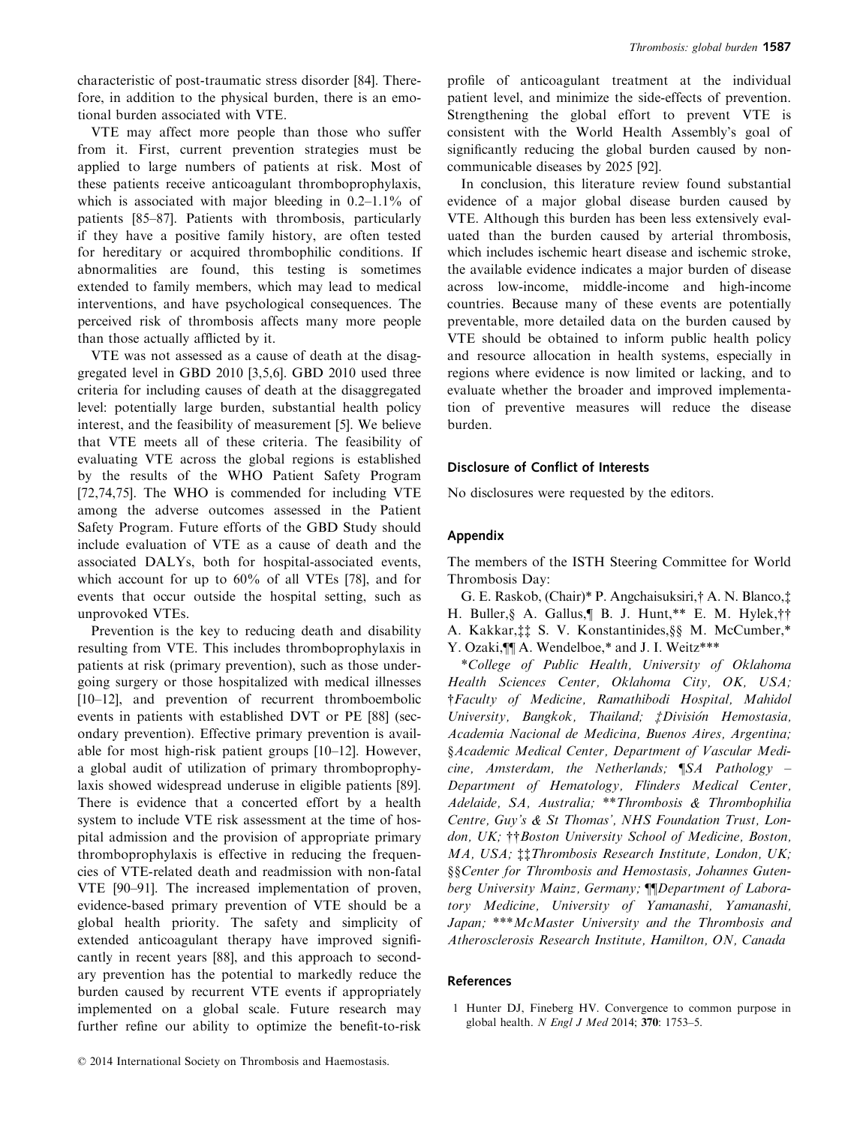characteristic of post-traumatic stress disorder [84]. Therefore, in addition to the physical burden, there is an emotional burden associated with VTE.

VTE may affect more people than those who suffer from it. First, current prevention strategies must be applied to large numbers of patients at risk. Most of these patients receive anticoagulant thromboprophylaxis, which is associated with major bleeding in 0.2–1.1% of patients [85–87]. Patients with thrombosis, particularly if they have a positive family history, are often tested for hereditary or acquired thrombophilic conditions. If abnormalities are found, this testing is sometimes extended to family members, which may lead to medical interventions, and have psychological consequences. The perceived risk of thrombosis affects many more people than those actually afflicted by it.

VTE was not assessed as a cause of death at the disaggregated level in GBD 2010 [3,5,6]. GBD 2010 used three criteria for including causes of death at the disaggregated level: potentially large burden, substantial health policy interest, and the feasibility of measurement [5]. We believe that VTE meets all of these criteria. The feasibility of evaluating VTE across the global regions is established by the results of the WHO Patient Safety Program [72,74,75]. The WHO is commended for including VTE among the adverse outcomes assessed in the Patient Safety Program. Future efforts of the GBD Study should include evaluation of VTE as a cause of death and the associated DALYs, both for hospital-associated events, which account for up to 60% of all VTEs [78], and for events that occur outside the hospital setting, such as unprovoked VTEs.

Prevention is the key to reducing death and disability resulting from VTE. This includes thromboprophylaxis in patients at risk (primary prevention), such as those undergoing surgery or those hospitalized with medical illnesses [10–12], and prevention of recurrent thromboembolic events in patients with established DVT or PE [88] (secondary prevention). Effective primary prevention is available for most high-risk patient groups [10–12]. However, a global audit of utilization of primary thromboprophylaxis showed widespread underuse in eligible patients [89]. There is evidence that a concerted effort by a health system to include VTE risk assessment at the time of hospital admission and the provision of appropriate primary thromboprophylaxis is effective in reducing the frequencies of VTE-related death and readmission with non-fatal VTE [90–91]. The increased implementation of proven, evidence-based primary prevention of VTE should be a global health priority. The safety and simplicity of extended anticoagulant therapy have improved significantly in recent years [88], and this approach to secondary prevention has the potential to markedly reduce the burden caused by recurrent VTE events if appropriately implemented on a global scale. Future research may further refine our ability to optimize the benefit-to-risk profile of anticoagulant treatment at the individual patient level, and minimize the side-effects of prevention. Strengthening the global effort to prevent VTE is consistent with the World Health Assembly's goal of significantly reducing the global burden caused by noncommunicable diseases by 2025 [92].

In conclusion, this literature review found substantial evidence of a major global disease burden caused by VTE. Although this burden has been less extensively evaluated than the burden caused by arterial thrombosis, which includes ischemic heart disease and ischemic stroke, the available evidence indicates a major burden of disease across low-income, middle-income and high-income countries. Because many of these events are potentially preventable, more detailed data on the burden caused by VTE should be obtained to inform public health policy and resource allocation in health systems, especially in regions where evidence is now limited or lacking, and to evaluate whether the broader and improved implementation of preventive measures will reduce the disease burden.

# Disclosure of Conflict of Interests

No disclosures were requested by the editors.

#### Appendix

The members of the ISTH Steering Committee for World Thrombosis Day:

G. E. Raskob, (Chair)\* P. Angchaisuksiri,† A. N. Blanco,‡ H. Buller,§ A. Gallus,¶ B. J. Hunt,\*\* E. M. Hylek,†† A. Kakkar,‡‡ S. V. Konstantinides,§§ M. McCumber,\* Y. Ozaki, M A. Wendelboe,\* and J. I. Weitz\*\*\*

*\*College of Public Health, University of Oklahoma Health Sciences Center, Oklahoma City, OK, USA;* †*Faculty of Medicine, Ramathibodi Hospital, Mahidol University, Bangkok, Thailand;* ‡*Division Hemostasia, Academia Nacional de Medicina, Buenos Aires, Argentina;* §*Academic Medical Center, Department of Vascular Medicine, Amsterdam, the Netherlands;* ¶*SA Pathology* – *Department of Hematology, Flinders Medical Center, Adelaide, SA, Australia;* \*\**Thrombosis & Thrombophilia Centre, Guy's & St Thomas', NHS Foundation Trust, London, UK;* ††*Boston University School of Medicine, Boston, MA, USA;* ‡‡*Thrombosis Research Institute, London, UK;* §§*Center for Thrombosis and Hemostasis, Johannes Gutenberg University Mainz, Germany;* ¶¶*Department of Laboratory Medicine, University of Yamanashi, Yamanashi, Japan;* \*\*\**McMaster University and the Thrombosis and Atherosclerosis Research Institute, Hamilton, ON, Canada*

#### References

1 Hunter DJ, Fineberg HV. Convergence to common purpose in global health. *N Engl J Med* 2014; 370: 1753–5.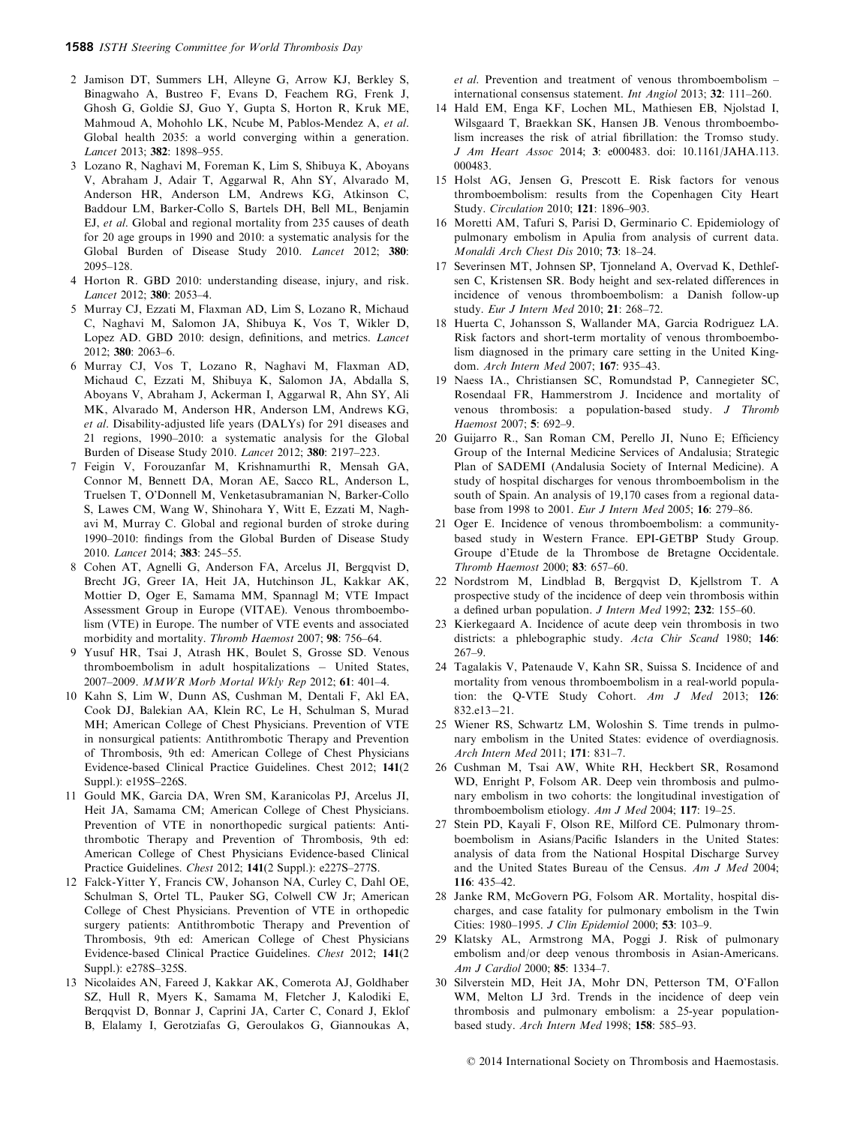- 2 Jamison DT, Summers LH, Alleyne G, Arrow KJ, Berkley S, Binagwaho A, Bustreo F, Evans D, Feachem RG, Frenk J, Ghosh G, Goldie SJ, Guo Y, Gupta S, Horton R, Kruk ME, Mahmoud A, Mohohlo LK, Ncube M, Pablos-Mendez A, *et al.* Global health 2035: a world converging within a generation. *Lancet* 2013; 382: 1898–955.
- 3 Lozano R, Naghavi M, Foreman K, Lim S, Shibuya K, Aboyans V, Abraham J, Adair T, Aggarwal R, Ahn SY, Alvarado M, Anderson HR, Anderson LM, Andrews KG, Atkinson C, Baddour LM, Barker-Collo S, Bartels DH, Bell ML, Benjamin EJ, *et al.* Global and regional mortality from 235 causes of death for 20 age groups in 1990 and 2010: a systematic analysis for the Global Burden of Disease Study 2010. *Lancet* 2012; 380: 2095–128.
- 4 Horton R. GBD 2010: understanding disease, injury, and risk. *Lancet* 2012; 380: 2053–4.
- 5 Murray CJ, Ezzati M, Flaxman AD, Lim S, Lozano R, Michaud C, Naghavi M, Salomon JA, Shibuya K, Vos T, Wikler D, Lopez AD. GBD 2010: design, definitions, and metrics. *Lancet* 2012; 380: 2063–6.
- 6 Murray CJ, Vos T, Lozano R, Naghavi M, Flaxman AD, Michaud C, Ezzati M, Shibuya K, Salomon JA, Abdalla S, Aboyans V, Abraham J, Ackerman I, Aggarwal R, Ahn SY, Ali MK, Alvarado M, Anderson HR, Anderson LM, Andrews KG, *et al.* Disability-adjusted life years (DALYs) for 291 diseases and 21 regions, 1990–2010: a systematic analysis for the Global Burden of Disease Study 2010. *Lancet* 2012; 380: 2197–223.
- 7 Feigin V, Forouzanfar M, Krishnamurthi R, Mensah GA, Connor M, Bennett DA, Moran AE, Sacco RL, Anderson L, Truelsen T, O'Donnell M, Venketasubramanian N, Barker-Collo S, Lawes CM, Wang W, Shinohara Y, Witt E, Ezzati M, Naghavi M, Murray C. Global and regional burden of stroke during 1990–2010: findings from the Global Burden of Disease Study 2010. *Lancet* 2014; 383: 245–55.
- 8 Cohen AT, Agnelli G, Anderson FA, Arcelus JI, Bergqvist D, Brecht JG, Greer IA, Heit JA, Hutchinson JL, Kakkar AK, Mottier D, Oger E, Samama MM, Spannagl M; VTE Impact Assessment Group in Europe (VITAE). Venous thromboembolism (VTE) in Europe. The number of VTE events and associated morbidity and mortality. *Thromb Haemost* 2007; 98: 756–64.
- 9 Yusuf HR, Tsai J, Atrash HK, Boulet S, Grosse SD. Venous thromboembolism in adult hospitalizations - United States, 2007–2009. *MMWR Morb Mortal Wkly Rep* 2012; 61: 401–4.
- 10 Kahn S, Lim W, Dunn AS, Cushman M, Dentali F, Akl EA, Cook DJ, Balekian AA, Klein RC, Le H, Schulman S, Murad MH; American College of Chest Physicians. Prevention of VTE in nonsurgical patients: Antithrombotic Therapy and Prevention of Thrombosis, 9th ed: American College of Chest Physicians Evidence-based Clinical Practice Guidelines. Chest 2012; 141(2 Suppl.): e195S–226S.
- 11 Gould MK, Garcia DA, Wren SM, Karanicolas PJ, Arcelus JI, Heit JA, Samama CM; American College of Chest Physicians. Prevention of VTE in nonorthopedic surgical patients: Antithrombotic Therapy and Prevention of Thrombosis, 9th ed: American College of Chest Physicians Evidence-based Clinical Practice Guidelines. *Chest* 2012; 141(2 Suppl.): e227S–277S.
- 12 Falck-Yitter Y, Francis CW, Johanson NA, Curley C, Dahl OE, Schulman S, Ortel TL, Pauker SG, Colwell CW Jr; American College of Chest Physicians. Prevention of VTE in orthopedic surgery patients: Antithrombotic Therapy and Prevention of Thrombosis, 9th ed: American College of Chest Physicians Evidence-based Clinical Practice Guidelines. *Chest* 2012; 141(2 Suppl.): e278S–325S.
- 13 Nicolaides AN, Fareed J, Kakkar AK, Comerota AJ, Goldhaber SZ, Hull R, Myers K, Samama M, Fletcher J, Kalodiki E, Berqqvist D, Bonnar J, Caprini JA, Carter C, Conard J, Eklof B, Elalamy I, Gerotziafas G, Geroulakos G, Giannoukas A,

*et al.* Prevention and treatment of venous thromboembolism – international consensus statement. *Int Angiol* 2013; 32: 111–260.

- 14 Hald EM, Enga KF, Lochen ML, Mathiesen EB, Njolstad I, Wilsgaard T, Braekkan SK, Hansen JB. Venous thromboembolism increases the risk of atrial fibrillation: the Tromso study. *J Am Heart Assoc* 2014; 3: e000483. doi: 10.1161/JAHA.113. 000483.
- 15 Holst AG, Jensen G, Prescott E. Risk factors for venous thromboembolism: results from the Copenhagen City Heart Study. *Circulation* 2010; 121: 1896–903.
- 16 Moretti AM, Tafuri S, Parisi D, Germinario C. Epidemiology of pulmonary embolism in Apulia from analysis of current data. *Monaldi Arch Chest Dis* 2010; 73: 18–24.
- 17 Severinsen MT, Johnsen SP, Tjonneland A, Overvad K, Dethlefsen C, Kristensen SR. Body height and sex-related differences in incidence of venous thromboembolism: a Danish follow-up study. *Eur J Intern Med* 2010; 21: 268–72.
- 18 Huerta C, Johansson S, Wallander MA, Garcia Rodriguez LA. Risk factors and short-term mortality of venous thromboembolism diagnosed in the primary care setting in the United Kingdom. *Arch Intern Med* 2007; 167: 935–43.
- 19 Naess IA., Christiansen SC, Romundstad P, Cannegieter SC, Rosendaal FR, Hammerstrom J. Incidence and mortality of venous thrombosis: a population-based study. *J Thromb Haemost* 2007; 5: 692–9.
- 20 Guijarro R., San Roman CM, Perello JI, Nuno E; Efficiency Group of the Internal Medicine Services of Andalusia; Strategic Plan of SADEMI (Andalusia Society of Internal Medicine). A study of hospital discharges for venous thromboembolism in the south of Spain. An analysis of 19,170 cases from a regional database from 1998 to 2001. *Eur J Intern Med* 2005; 16: 279–86.
- 21 Oger E. Incidence of venous thromboembolism: a communitybased study in Western France. EPI-GETBP Study Group. Groupe d'Etude de la Thrombose de Bretagne Occidentale. *Thromb Haemost* 2000; 83: 657–60.
- 22 Nordstrom M, Lindblad B, Bergqvist D, Kjellstrom T. A prospective study of the incidence of deep vein thrombosis within a defined urban population. *J Intern Med* 1992; 232: 155–60.
- 23 Kierkegaard A. Incidence of acute deep vein thrombosis in two districts: a phlebographic study. *Acta Chir Scand* 1980; 146: 267–9.
- 24 Tagalakis V, Patenaude V, Kahn SR, Suissa S. Incidence of and mortality from venous thromboembolism in a real-world population: the Q-VTE Study Cohort. *Am J Med* 2013; 126:  $832. e13 - 21.$
- 25 Wiener RS, Schwartz LM, Woloshin S. Time trends in pulmonary embolism in the United States: evidence of overdiagnosis. *Arch Intern Med* 2011; 171: 831–7.
- 26 Cushman M, Tsai AW, White RH, Heckbert SR, Rosamond WD, Enright P, Folsom AR. Deep vein thrombosis and pulmonary embolism in two cohorts: the longitudinal investigation of thromboembolism etiology. *Am J Med* 2004; 117: 19–25.
- 27 Stein PD, Kayali F, Olson RE, Milford CE. Pulmonary thromboembolism in Asians/Pacific Islanders in the United States: analysis of data from the National Hospital Discharge Survey and the United States Bureau of the Census. *Am J Med* 2004; 116: 435–42.
- 28 Janke RM, McGovern PG, Folsom AR. Mortality, hospital discharges, and case fatality for pulmonary embolism in the Twin Cities: 1980–1995. *J Clin Epidemiol* 2000; 53: 103–9.
- 29 Klatsky AL, Armstrong MA, Poggi J. Risk of pulmonary embolism and/or deep venous thrombosis in Asian-Americans. *Am J Cardiol* 2000; 85: 1334–7.
- 30 Silverstein MD, Heit JA, Mohr DN, Petterson TM, O'Fallon WM, Melton LJ 3rd. Trends in the incidence of deep vein thrombosis and pulmonary embolism: a 25-year populationbased study. *Arch Intern Med* 1998; 158: 585–93.

© 2014 International Society on Thrombosis and Haemostasis.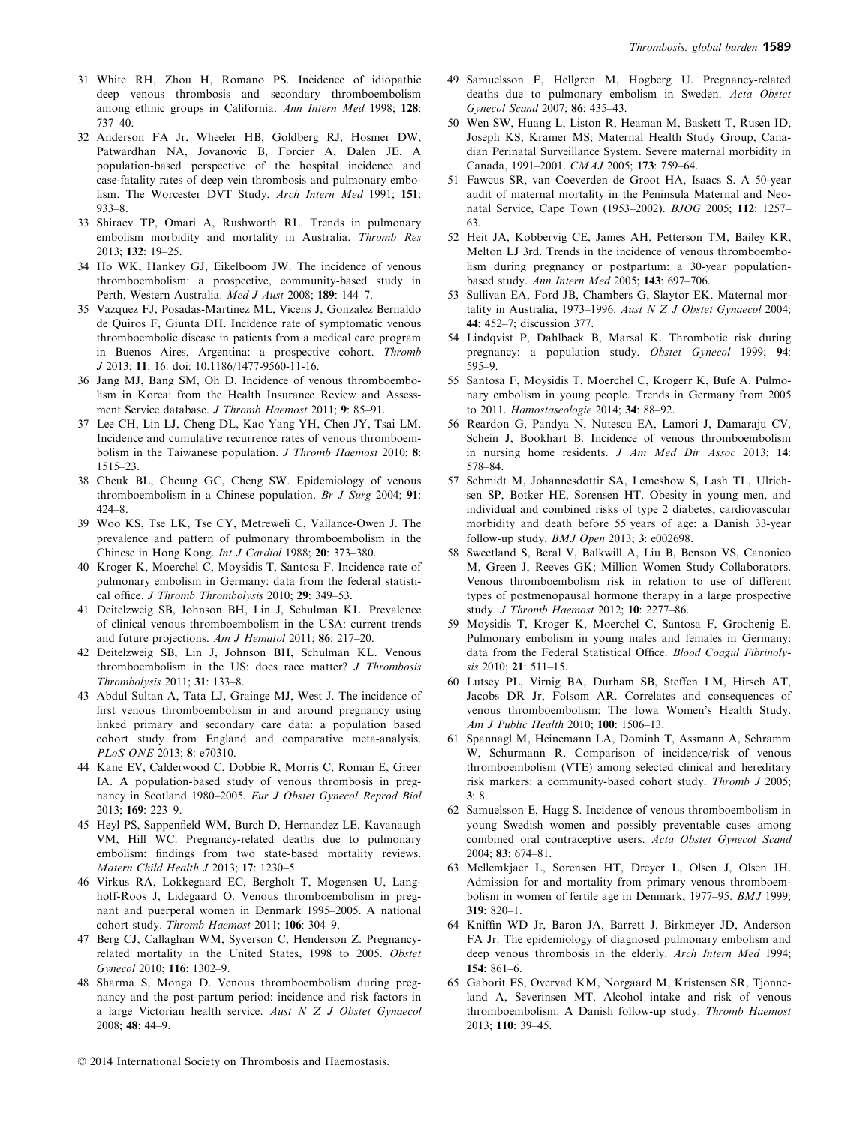- 31 White RH, Zhou H, Romano PS. Incidence of idiopathic deep venous thrombosis and secondary thromboembolism among ethnic groups in California. *Ann Intern Med* 1998; 128: 737–40.
- 32 Anderson FA Jr, Wheeler HB, Goldberg RJ, Hosmer DW, Patwardhan NA, Jovanovic B, Forcier A, Dalen JE. A population-based perspective of the hospital incidence and case-fatality rates of deep vein thrombosis and pulmonary embolism. The Worcester DVT Study. *Arch Intern Med* 1991; 151: 933–8.
- 33 Shiraev TP, Omari A, Rushworth RL. Trends in pulmonary embolism morbidity and mortality in Australia. *Thromb Res* 2013; 132: 19–25.
- 34 Ho WK, Hankey GJ, Eikelboom JW. The incidence of venous thromboembolism: a prospective, community-based study in Perth, Western Australia. *Med J Aust* 2008; 189: 144–7.
- 35 Vazquez FJ, Posadas-Martinez ML, Vicens J, Gonzalez Bernaldo de Quiros F, Giunta DH. Incidence rate of symptomatic venous thromboembolic disease in patients from a medical care program in Buenos Aires, Argentina: a prospective cohort. *Thromb J* 2013; 11: 16. doi: 10.1186/1477-9560-11-16.
- 36 Jang MJ, Bang SM, Oh D. Incidence of venous thromboembolism in Korea: from the Health Insurance Review and Assessment Service database. *J Thromb Haemost* 2011; 9: 85–91.
- 37 Lee CH, Lin LJ, Cheng DL, Kao Yang YH, Chen JY, Tsai LM. Incidence and cumulative recurrence rates of venous thromboembolism in the Taiwanese population. *J Thromb Haemost* 2010; 8: 1515–23.
- 38 Cheuk BL, Cheung GC, Cheng SW. Epidemiology of venous thromboembolism in a Chinese population. *Br J Surg* 2004; 91: 424–8.
- 39 Woo KS, Tse LK, Tse CY, Metreweli C, Vallance-Owen J. The prevalence and pattern of pulmonary thromboembolism in the Chinese in Hong Kong. *Int J Cardiol* 1988; 20: 373–380.
- 40 Kroger K, Moerchel C, Moysidis T, Santosa F. Incidence rate of pulmonary embolism in Germany: data from the federal statistical office. *J Thromb Thrombolysis* 2010; 29: 349–53.
- 41 Deitelzweig SB, Johnson BH, Lin J, Schulman KL. Prevalence of clinical venous thromboembolism in the USA: current trends and future projections. *Am J Hematol* 2011; 86: 217–20.
- 42 Deitelzweig SB, Lin J, Johnson BH, Schulman KL. Venous thromboembolism in the US: does race matter? *J Thrombosis Thrombolysis* 2011; 31: 133–8.
- 43 Abdul Sultan A, Tata LJ, Grainge MJ, West J. The incidence of first venous thromboembolism in and around pregnancy using linked primary and secondary care data: a population based cohort study from England and comparative meta-analysis. *PLoS ONE* 2013; 8: e70310.
- 44 Kane EV, Calderwood C, Dobbie R, Morris C, Roman E, Greer IA. A population-based study of venous thrombosis in pregnancy in Scotland 1980–2005. *Eur J Obstet Gynecol Reprod Biol* 2013; 169: 223–9.
- 45 Heyl PS, Sappenfield WM, Burch D, Hernandez LE, Kavanaugh VM, Hill WC. Pregnancy-related deaths due to pulmonary embolism: findings from two state-based mortality reviews. *Matern Child Health J* 2013; 17: 1230–5.
- 46 Virkus RA, Lokkegaard EC, Bergholt T, Mogensen U, Langhoff-Roos J, Lidegaard O. Venous thromboembolism in pregnant and puerperal women in Denmark 1995–2005. A national cohort study. *Thromb Haemost* 2011; 106: 304–9.
- 47 Berg CJ, Callaghan WM, Syverson C, Henderson Z. Pregnancyrelated mortality in the United States, 1998 to 2005. *Obstet Gynecol* 2010; 116: 1302–9.
- 48 Sharma S, Monga D. Venous thromboembolism during pregnancy and the post-partum period: incidence and risk factors in a large Victorian health service. *Aust N Z J Obstet Gynaecol* 2008; 48: 44–9.

© 2014 International Society on Thrombosis and Haemostasis.

- 49 Samuelsson E, Hellgren M, Hogberg U. Pregnancy-related deaths due to pulmonary embolism in Sweden. *Acta Obstet Gynecol Scand* 2007; 86: 435–43.
- 50 Wen SW, Huang L, Liston R, Heaman M, Baskett T, Rusen ID, Joseph KS, Kramer MS; Maternal Health Study Group, Canadian Perinatal Surveillance System. Severe maternal morbidity in Canada, 1991–2001. *CMAJ* 2005; 173: 759–64.
- 51 Fawcus SR, van Coeverden de Groot HA, Isaacs S. A 50-year audit of maternal mortality in the Peninsula Maternal and Neonatal Service, Cape Town (1953–2002). *BJOG* 2005; 112: 1257– 63.
- 52 Heit JA, Kobbervig CE, James AH, Petterson TM, Bailey KR, Melton LJ 3rd. Trends in the incidence of venous thromboembolism during pregnancy or postpartum: a 30-year populationbased study. *Ann Intern Med* 2005; 143: 697–706.
- 53 Sullivan EA, Ford JB, Chambers G, Slaytor EK. Maternal mortality in Australia, 1973–1996. *Aust N Z J Obstet Gynaecol* 2004; 44: 452–7; discussion 377.
- 54 Lindqvist P, Dahlback B, Marsal K. Thrombotic risk during pregnancy: a population study. *Obstet Gynecol* 1999; 94: 595–9.
- 55 Santosa F, Moysidis T, Moerchel C, Krogerr K, Bufe A. Pulmonary embolism in young people. Trends in Germany from 2005 to 2011. *Hamostaseologie* 2014; 34: 88–92.
- 56 Reardon G, Pandya N, Nutescu EA, Lamori J, Damaraju CV, Schein J, Bookhart B. Incidence of venous thromboembolism in nursing home residents. *J Am Med Dir Assoc* 2013; 14: 578–84.
- 57 Schmidt M, Johannesdottir SA, Lemeshow S, Lash TL, Ulrichsen SP, Botker HE, Sorensen HT. Obesity in young men, and individual and combined risks of type 2 diabetes, cardiovascular morbidity and death before 55 years of age: a Danish 33-year follow-up study. *BMJ Open* 2013; 3: e002698.
- 58 Sweetland S, Beral V, Balkwill A, Liu B, Benson VS, Canonico M, Green J, Reeves GK; Million Women Study Collaborators. Venous thromboembolism risk in relation to use of different types of postmenopausal hormone therapy in a large prospective study. *J Thromb Haemost* 2012; 10: 2277–86.
- 59 Moysidis T, Kroger K, Moerchel C, Santosa F, Grochenig E. Pulmonary embolism in young males and females in Germany: data from the Federal Statistical Office. *Blood Coagul Fibrinolysis* 2010; 21: 511–15.
- Lutsey PL, Virnig BA, Durham SB, Steffen LM, Hirsch AT, Jacobs DR Jr, Folsom AR. Correlates and consequences of venous thromboembolism: The Iowa Women's Health Study. *Am J Public Health* 2010; 100: 1506–13.
- 61 Spannagl M, Heinemann LA, Dominh T, Assmann A, Schramm W, Schurmann R. Comparison of incidence/risk of venous thromboembolism (VTE) among selected clinical and hereditary risk markers: a community-based cohort study. *Thromb J* 2005; 3: 8.
- 62 Samuelsson E, Hagg S. Incidence of venous thromboembolism in young Swedish women and possibly preventable cases among combined oral contraceptive users. *Acta Obstet Gynecol Scand* 2004; 83: 674–81.
- 63 Mellemkjaer L, Sorensen HT, Dreyer L, Olsen J, Olsen JH. Admission for and mortality from primary venous thromboembolism in women of fertile age in Denmark, 1977–95. *BMJ* 1999; 319: 820–1.
- 64 Kniffin WD Jr, Baron JA, Barrett J, Birkmeyer JD, Anderson FA Jr. The epidemiology of diagnosed pulmonary embolism and deep venous thrombosis in the elderly. *Arch Intern Med* 1994; 154: 861–6.
- 65 Gaborit FS, Overvad KM, Norgaard M, Kristensen SR, Tjonneland A, Severinsen MT. Alcohol intake and risk of venous thromboembolism. A Danish follow-up study. *Thromb Haemost* 2013; 110: 39–45.